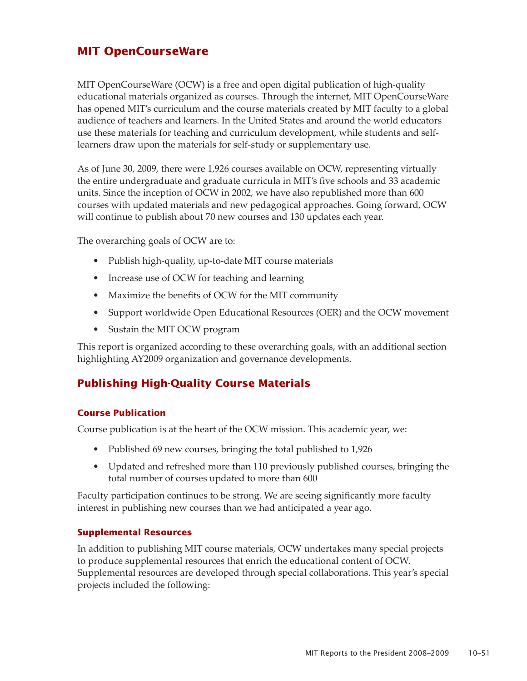# **MIT OpenCourseWare**

MIT OpenCourseWare (OCW) is a free and open digital publication of high-quality educational materials organized as courses. Through the internet, MIT OpenCourseWare has opened MIT's curriculum and the course materials created by MIT faculty to a global audience of teachers and learners. In the United States and around the world educators use these materials for teaching and curriculum development, while students and selflearners draw upon the materials for self-study or supplementary use.

As of June 30, 2009, there were 1,926 courses available on OCW, representing virtually the entire undergraduate and graduate curricula in MIT's five schools and 33 academic units. Since the inception of OCW in 2002, we have also republished more than 600 courses with updated materials and new pedagogical approaches. Going forward, OCW will continue to publish about 70 new courses and 130 updates each year.

The overarching goals of OCW are to:

- Publish high-quality, up-to-date MIT course materials
- Increase use of OCW for teaching and learning
- Maximize the benefits of OCW for the MIT community
- Support worldwide Open Educational Resources (OER) and the OCW movement
- Sustain the MIT OCW program

This report is organized according to these overarching goals, with an additional section highlighting AY2009 organization and governance developments.

# **Publishing High-Quality Course Materials**

### **Course Publication**

Course publication is at the heart of the OCW mission. This academic year, we:

- Published 69 new courses, bringing the total published to 1,926
- Updated and refreshed more than 110 previously published courses, bringing the total number of courses updated to more than 600

Faculty participation continues to be strong. We are seeing significantly more faculty interest in publishing new courses than we had anticipated a year ago.

### **Supplemental Resources**

In addition to publishing MIT course materials, OCW undertakes many special projects to produce supplemental resources that enrich the educational content of OCW. Supplemental resources are developed through special collaborations. This year's special projects included the following: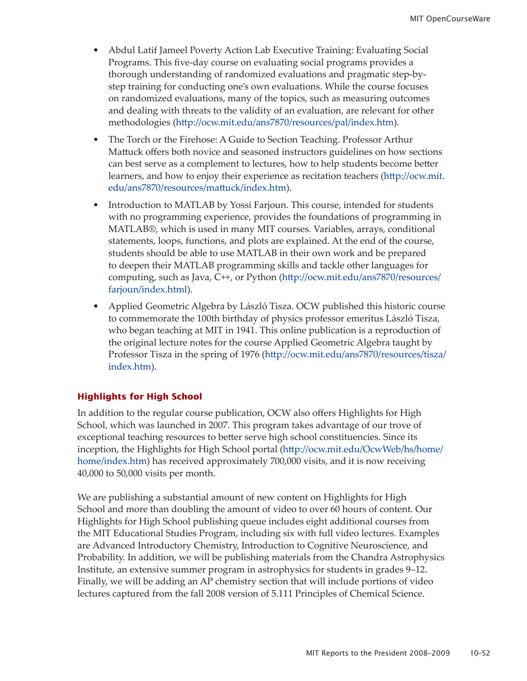- Abdul Latif Jameel Poverty Action Lab Executive Training: Evaluating Social Programs. This five-day course on evaluating social programs provides a thorough understanding of randomized evaluations and pragmatic step-bystep training for conducting one's own evaluations. While the course focuses on randomized evaluations, many of the topics, such as measuring outcomes and dealing with threats to the validity of an evaluation, are relevant for other methodologies ([http://ocw.mit.edu/ans7870/resources/pal/index.ht](http://ocw.mit.edu/ans7870/resources/pal/index.htm)m).
- The Torch or the Firehose: A Guide to Section Teaching. Professor Arthur Mattuck offers both novice and seasoned instructors guidelines on how sections can best serve as a complement to lectures, how to help students become better learners, and how to enjoy their experience as recitation teachers [\(http://ocw.mit.](http://ocw.mit.edu/ans7870/resources/mattuck/index.htm) [edu/ans7870/resources/mattuck/index.ht](http://ocw.mit.edu/ans7870/resources/mattuck/index.htm)m).
- Introduction to MATLAB by Yossi Farjoun. This course, intended for students with no programming experience, provides the foundations of programming in MATLAB®, which is used in many MIT courses. Variables, arrays, conditional statements, loops, functions, and plots are explained. At the end of the course, students should be able to use MATLAB in their own work and be prepared to deepen their MATLAB programming skills and tackle other languages for computing, such as Java, C++, or Python ([http://ocw.mit.edu/ans7870/resources/](http://ocw.mit.edu/ans7870/resources/farjoun/index.html) [farjoun/index.htm](http://ocw.mit.edu/ans7870/resources/farjoun/index.html)l).
- Applied Geometric Algebra by László Tisza. OCW published this historic course to commemorate the 100th birthday of physics professor emeritus László Tisza, who began teaching at MIT in 1941. This online publication is a reproduction of the original lecture notes for the course Applied Geometric Algebra taught by Professor Tisza in the spring of 1976 ([http://ocw.mit.edu/ans7870/resources/tisza/](http://ocw.mit.edu/ans7870/resources/tisza/index.htm) [index.ht](http://ocw.mit.edu/ans7870/resources/tisza/index.htm)m).

# **Highlights for High School**

In addition to the regular course publication, OCW also offers Highlights for High School, which was launched in 2007. This program takes advantage of our trove of exceptional teaching resources to better serve high school constituencies. Since its inception, the Highlights for High School portal ([http://ocw.mit.edu/OcwWeb/hs/home/](http://ocw.mit.edu/OcwWeb/hs/home/home/index.htm) [home/index.ht](http://ocw.mit.edu/OcwWeb/hs/home/home/index.htm)m) has received approximately 700,000 visits, and it is now receiving 40,000 to 50,000 visits per month.

We are publishing a substantial amount of new content on Highlights for High School and more than doubling the amount of video to over 60 hours of content. Our Highlights for High School publishing queue includes eight additional courses from the MIT Educational Studies Program, including six with full video lectures. Examples are Advanced Introductory Chemistry, Introduction to Cognitive Neuroscience, and Probability. In addition, we will be publishing materials from the Chandra Astrophysics Institute, an extensive summer program in astrophysics for students in grades 9–12. Finally, we will be adding an AP chemistry section that will include portions of video lectures captured from the fall 2008 version of 5.111 Principles of Chemical Science.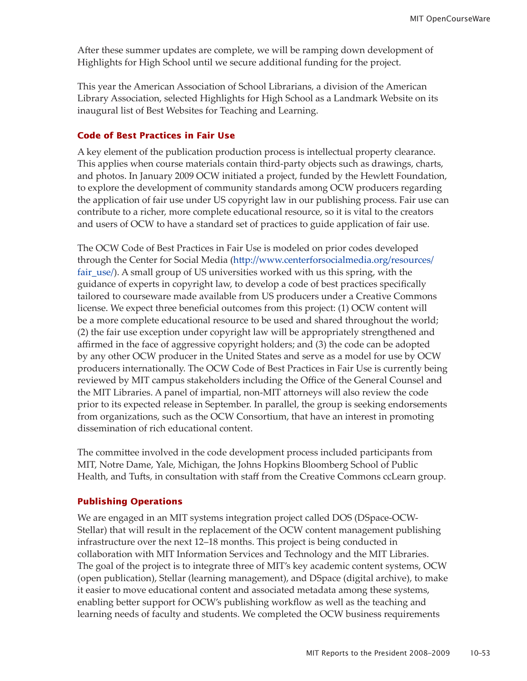After these summer updates are complete, we will be ramping down development of Highlights for High School until we secure additional funding for the project.

This year the American Association of School Librarians, a division of the American Library Association, selected Highlights for High School as a Landmark Website on its inaugural list of Best Websites for Teaching and Learning.

#### **Code of Best Practices in Fair Use**

A key element of the publication production process is intellectual property clearance. This applies when course materials contain third-party objects such as drawings, charts, and photos. In January 2009 OCW initiated a project, funded by the Hewlett Foundation, to explore the development of community standards among OCW producers regarding the application of fair use under US copyright law in our publishing process. Fair use can contribute to a richer, more complete educational resource, so it is vital to the creators and users of OCW to have a standard set of practices to guide application of fair use.

The OCW Code of Best Practices in Fair Use is modeled on prior codes developed through the Center for Social Media ([http://www.centerforsocialmedia.org/resources/](http://www.centerforsocialmedia.org/resources/fair_use/) [fair\\_use](http://www.centerforsocialmedia.org/resources/fair_use/)/). A small group of US universities worked with us this spring, with the guidance of experts in copyright law, to develop a code of best practices specifically tailored to courseware made available from US producers under a Creative Commons license. We expect three beneficial outcomes from this project: (1) OCW content will be a more complete educational resource to be used and shared throughout the world; (2) the fair use exception under copyright law will be appropriately strengthened and affirmed in the face of aggressive copyright holders; and (3) the code can be adopted by any other OCW producer in the United States and serve as a model for use by OCW producers internationally. The OCW Code of Best Practices in Fair Use is currently being reviewed by MIT campus stakeholders including the Office of the General Counsel and the MIT Libraries. A panel of impartial, non-MIT attorneys will also review the code prior to its expected release in September. In parallel, the group is seeking endorsements from organizations, such as the OCW Consortium, that have an interest in promoting dissemination of rich educational content.

The committee involved in the code development process included participants from MIT, Notre Dame, Yale, Michigan, the Johns Hopkins Bloomberg School of Public Health, and Tufts, in consultation with staff from the Creative Commons ccLearn group.

#### **Publishing Operations**

We are engaged in an MIT systems integration project called DOS (DSpace-OCW-Stellar) that will result in the replacement of the OCW content management publishing infrastructure over the next 12–18 months. This project is being conducted in collaboration with MIT Information Services and Technology and the MIT Libraries. The goal of the project is to integrate three of MIT's key academic content systems, OCW (open publication), Stellar (learning management), and DSpace (digital archive), to make it easier to move educational content and associated metadata among these systems, enabling better support for OCW's publishing workflow as well as the teaching and learning needs of faculty and students. We completed the OCW business requirements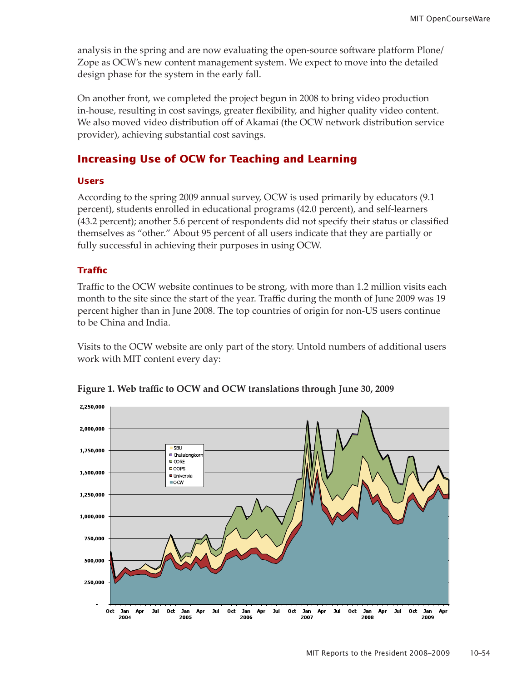analysis in the spring and are now evaluating the open-source software platform Plone/ Zope as OCW's new content management system. We expect to move into the detailed design phase for the system in the early fall.

On another front, we completed the project begun in 2008 to bring video production in-house, resulting in cost savings, greater flexibility, and higher quality video content. We also moved video distribution off of Akamai (the OCW network distribution service provider), achieving substantial cost savings.

# **Increasing Use of OCW for Teaching and Learning**

#### **Users**

According to the spring 2009 annual survey, OCW is used primarily by educators (9.1 percent), students enrolled in educational programs (42.0 percent), and self-learners (43.2 percent); another 5.6 percent of respondents did not specify their status or classified themselves as "other." About 95 percent of all users indicate that they are partially or fully successful in achieving their purposes in using OCW.

## **Traffic**

Traffic to the OCW website continues to be strong, with more than 1.2 million visits each month to the site since the start of the year. Traffic during the month of June 2009 was 19 percent higher than in June 2008. The top countries of origin for non-US users continue to be China and India.

Visits to the OCW website are only part of the story. Untold numbers of additional users **work with MIT content every day:** 



**Figure 1. Web traffic to OCW and OCW translations through June 30, 2009**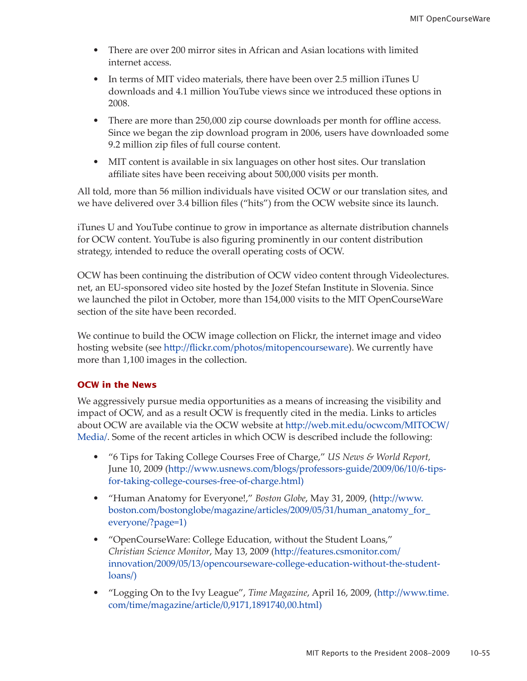- There are over 200 mirror sites in African and Asian locations with limited internet access.
- In terms of MIT video materials, there have been over 2.5 million iTunes U downloads and 4.1 million YouTube views since we introduced these options in 2008.
- There are more than 250,000 zip course downloads per month for offline access. Since we began the zip download program in 2006, users have downloaded some 9.2 million zip files of full course content.
- MIT content is available in six languages on other host sites. Our translation affiliate sites have been receiving about 500,000 visits per month.

All told, more than 56 million individuals have visited OCW or our translation sites, and we have delivered over 3.4 billion files ("hits") from the OCW website since its launch.

iTunes U and YouTube continue to grow in importance as alternate distribution channels for OCW content. YouTube is also figuring prominently in our content distribution strategy, intended to reduce the overall operating costs of OCW.

OCW has been continuing the distribution of OCW video content through Videolectures. net, an EU-sponsored video site hosted by the Jozef Stefan Institute in Slovenia. Since we launched the pilot in October, more than 154,000 visits to the MIT OpenCourseWare section of the site have been recorded.

We continue to build the OCW image collection on Flickr, the internet image and video hosting website (see [http://flickr.com/photos/mitopencoursewar](http://flickr.com/photos/mitopencourseware)e). We currently have more than 1,100 images in the collection.

# **OCW in the News**

We aggressively pursue media opportunities as a means of increasing the visibility and impact of OCW, and as a result OCW is frequently cited in the media. Links to articles about OCW are available via the OCW website at [http://web.mit.edu/ocwcom/MITOCW/](http://web.mit.edu/ocwcom/MITOCW/Media/) [Media](http://web.mit.edu/ocwcom/MITOCW/Media/)/. Some of the recent articles in which OCW is described include the following:

- "6 Tips for Taking College Courses Free of Charge," *US News & World Report,*  June 10, 2009 ([http://www.usnews.com/blogs/professors-guide/2009/06/10/6-tips](http://www.usnews.com/blogs/professors-guide/2009/06/10/6-tips-for-taking-college-courses-free-of-charge.html)[for-taking-college-courses-free-of-charge.html\)](http://www.usnews.com/blogs/professors-guide/2009/06/10/6-tips-for-taking-college-courses-free-of-charge.html)
- "Human Anatomy for Everyone!," *Boston Globe*, May 31, 2009, ([http://www.](http://www.boston.com/bostonglobe/magazine/articles/2009/05/31/human_anatomy_for_everyone/?page=1) [boston.com/bostonglobe/magazine/articles/2009/05/31/human\\_anatomy\\_for\\_](http://www.boston.com/bostonglobe/magazine/articles/2009/05/31/human_anatomy_for_everyone/?page=1) [everyone/?page=](http://www.boston.com/bostonglobe/magazine/articles/2009/05/31/human_anatomy_for_everyone/?page=1)1)
- "OpenCourseWare: College Education, without the Student Loans," *Christian Science Monitor*, May 13, 2009 ([http://features.csmonitor.com/](http://features.csmonitor.com/innovation/2009/05/13/opencourseware-college-education-without-the-student-loans/) [innovation/2009/05/13/opencourseware-college-education-without-the-student](http://features.csmonitor.com/innovation/2009/05/13/opencourseware-college-education-without-the-student-loans/)[loans](http://features.csmonitor.com/innovation/2009/05/13/opencourseware-college-education-without-the-student-loans/)/)
- "Logging On to the Ivy League", *Time Magazine*, April 16, 2009, ([http://www.time.](http://www.time.com/time/magazine/article/0,9171,1891740,00.html) [com/time/magazine/article/0,9171,1891740,00.htm](http://www.time.com/time/magazine/article/0,9171,1891740,00.html)l)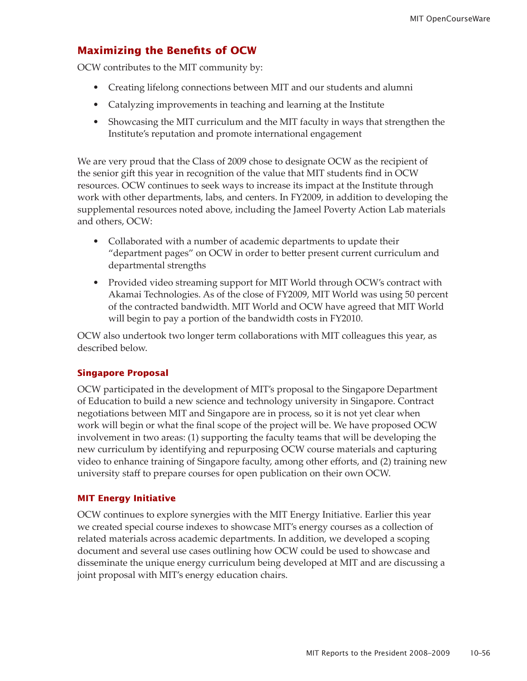# **Maximizing the Benefits of OCW**

OCW contributes to the MIT community by:

- Creating lifelong connections between MIT and our students and alumni
- Catalyzing improvements in teaching and learning at the Institute
- Showcasing the MIT curriculum and the MIT faculty in ways that strengthen the Institute's reputation and promote international engagement

We are very proud that the Class of 2009 chose to designate OCW as the recipient of the senior gift this year in recognition of the value that MIT students find in OCW resources. OCW continues to seek ways to increase its impact at the Institute through work with other departments, labs, and centers. In FY2009, in addition to developing the supplemental resources noted above, including the Jameel Poverty Action Lab materials and others, OCW:

- Collaborated with a number of academic departments to update their "department pages" on OCW in order to better present current curriculum and departmental strengths
- Provided video streaming support for MIT World through OCW's contract with Akamai Technologies. As of the close of FY2009, MIT World was using 50 percent of the contracted bandwidth. MIT World and OCW have agreed that MIT World will begin to pay a portion of the bandwidth costs in FY2010.

OCW also undertook two longer term collaborations with MIT colleagues this year, as described below.

#### **Singapore Proposal**

OCW participated in the development of MIT's proposal to the Singapore Department of Education to build a new science and technology university in Singapore. Contract negotiations between MIT and Singapore are in process, so it is not yet clear when work will begin or what the final scope of the project will be. We have proposed OCW involvement in two areas: (1) supporting the faculty teams that will be developing the new curriculum by identifying and repurposing OCW course materials and capturing video to enhance training of Singapore faculty, among other efforts, and (2) training new university staff to prepare courses for open publication on their own OCW.

#### **MIT Energy Initiative**

OCW continues to explore synergies with the MIT Energy Initiative. Earlier this year we created special course indexes to showcase MIT's energy courses as a collection of related materials across academic departments. In addition, we developed a scoping document and several use cases outlining how OCW could be used to showcase and disseminate the unique energy curriculum being developed at MIT and are discussing a joint proposal with MIT's energy education chairs.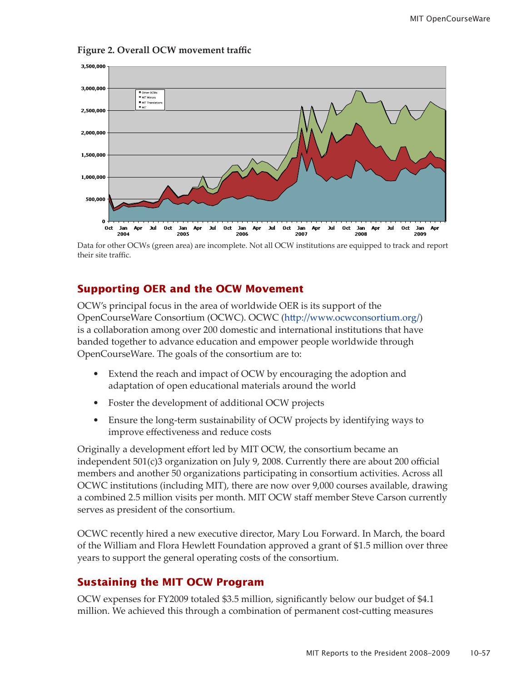

**Figure 2. Overall OCW movement traffic** 

Note: Data for other OCWs (green area) are incomplete. Not all OCW institutions are equipped to track and report Data for other OCWs (green area) are incomplete. Not all OCW institutions are equipped to track and report their site traffic. their site traffic.

# **Supporting OER and the OCW Movement**

OCW's principal focus in the area of worldwide OER is its support of the OpenCourseWare Consortium (OCWC). OCWC (<http://www.ocwconsortium.org/>) is a collaboration among over 200 domestic and international institutions that have banded together to advance education and empower people worldwide through OpenCourseWare. The goals of the consortium are to:

- Extend the reach and impact of OCW by encouraging the adoption and adaptation of open educational materials around the world
- Foster the development of additional OCW projects
- Ensure the long-term sustainability of OCW projects by identifying ways to improve effectiveness and reduce costs

Originally a development effort led by MIT OCW, the consortium became an independent 501(c)3 organization on July 9, 2008. Currently there are about 200 official members and another 50 organizations participating in consortium activities. Across all OCWC institutions (including MIT), there are now over 9,000 courses available, drawing a combined 2.5 million visits per month. MIT OCW staff member Steve Carson currently serves as president of the consortium.

OCWC recently hired a new executive director, Mary Lou Forward. In March, the board of the William and Flora Hewlett Foundation approved a grant of \$1.5 million over three years to support the general operating costs of the consortium.

# **Sustaining the MIT OCW Program**

OCW expenses for FY2009 totaled \$3.5 million, significantly below our budget of \$4.1 million. We achieved this through a combination of permanent cost-cutting measures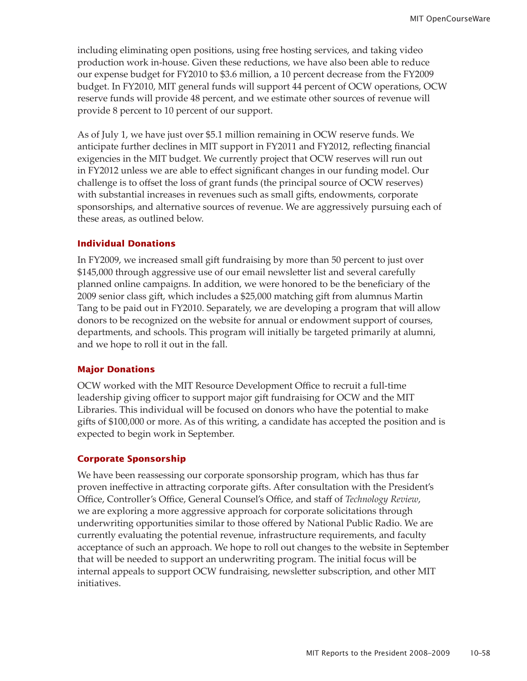including eliminating open positions, using free hosting services, and taking video production work in-house. Given these reductions, we have also been able to reduce our expense budget for FY2010 to \$3.6 million, a 10 percent decrease from the FY2009 budget. In FY2010, MIT general funds will support 44 percent of OCW operations, OCW reserve funds will provide 48 percent, and we estimate other sources of revenue will provide 8 percent to 10 percent of our support.

As of July 1, we have just over \$5.1 million remaining in OCW reserve funds. We anticipate further declines in MIT support in FY2011 and FY2012, reflecting financial exigencies in the MIT budget. We currently project that OCW reserves will run out in FY2012 unless we are able to effect significant changes in our funding model. Our challenge is to offset the loss of grant funds (the principal source of OCW reserves) with substantial increases in revenues such as small gifts, endowments, corporate sponsorships, and alternative sources of revenue. We are aggressively pursuing each of these areas, as outlined below.

### **Individual Donations**

In FY2009, we increased small gift fundraising by more than 50 percent to just over \$145,000 through aggressive use of our email newsletter list and several carefully planned online campaigns. In addition, we were honored to be the beneficiary of the 2009 senior class gift, which includes a \$25,000 matching gift from alumnus Martin Tang to be paid out in FY2010. Separately, we are developing a program that will allow donors to be recognized on the website for annual or endowment support of courses, departments, and schools. This program will initially be targeted primarily at alumni, and we hope to roll it out in the fall.

#### **Major Donations**

OCW worked with the MIT Resource Development Office to recruit a full-time leadership giving officer to support major gift fundraising for OCW and the MIT Libraries. This individual will be focused on donors who have the potential to make gifts of \$100,000 or more. As of this writing, a candidate has accepted the position and is expected to begin work in September.

#### **Corporate Sponsorship**

We have been reassessing our corporate sponsorship program, which has thus far proven ineffective in attracting corporate gifts. After consultation with the President's Office, Controller's Office, General Counsel's Office, and staff of *Technology Review*, we are exploring a more aggressive approach for corporate solicitations through underwriting opportunities similar to those offered by National Public Radio. We are currently evaluating the potential revenue, infrastructure requirements, and faculty acceptance of such an approach. We hope to roll out changes to the website in September that will be needed to support an underwriting program. The initial focus will be internal appeals to support OCW fundraising, newsletter subscription, and other MIT initiatives.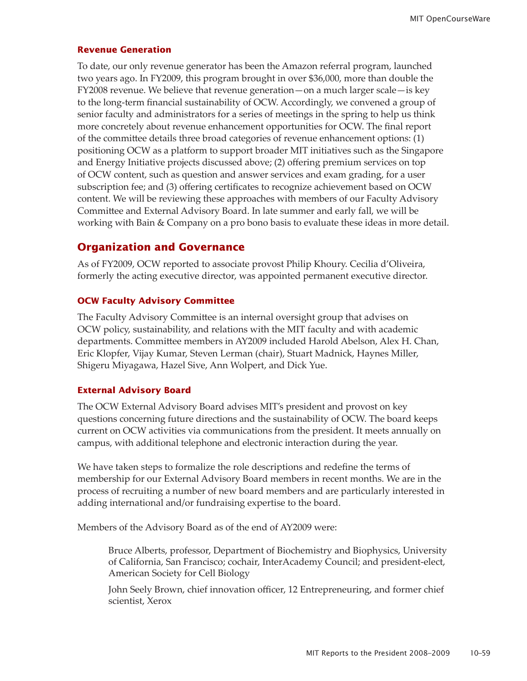#### **Revenue Generation**

To date, our only revenue generator has been the Amazon referral program, launched two years ago. In FY2009, this program brought in over \$36,000, more than double the FY2008 revenue. We believe that revenue generation—on a much larger scale—is key to the long-term financial sustainability of OCW. Accordingly, we convened a group of senior faculty and administrators for a series of meetings in the spring to help us think more concretely about revenue enhancement opportunities for OCW. The final report of the committee details three broad categories of revenue enhancement options: (1) positioning OCW as a platform to support broader MIT initiatives such as the Singapore and Energy Initiative projects discussed above; (2) offering premium services on top of OCW content, such as question and answer services and exam grading, for a user subscription fee; and (3) offering certificates to recognize achievement based on OCW content. We will be reviewing these approaches with members of our Faculty Advisory Committee and External Advisory Board. In late summer and early fall, we will be working with Bain & Company on a pro bono basis to evaluate these ideas in more detail.

# **Organization and Governance**

As of FY2009, OCW reported to associate provost Philip Khoury. Cecilia d'Oliveira, formerly the acting executive director, was appointed permanent executive director.

#### **OCW Faculty Advisory Committee**

The Faculty Advisory Committee is an internal oversight group that advises on OCW policy, sustainability, and relations with the MIT faculty and with academic departments. Committee members in AY2009 included Harold Abelson, Alex H. Chan, Eric Klopfer, Vijay Kumar, Steven Lerman (chair), Stuart Madnick, Haynes Miller, Shigeru Miyagawa, Hazel Sive, Ann Wolpert, and Dick Yue.

### **External Advisory Board**

The OCW External Advisory Board advises MIT's president and provost on key questions concerning future directions and the sustainability of OCW. The board keeps current on OCW activities via communications from the president. It meets annually on campus, with additional telephone and electronic interaction during the year.

We have taken steps to formalize the role descriptions and redefine the terms of membership for our External Advisory Board members in recent months. We are in the process of recruiting a number of new board members and are particularly interested in adding international and/or fundraising expertise to the board.

Members of the Advisory Board as of the end of AY2009 were:

Bruce Alberts, professor, Department of Biochemistry and Biophysics, University of California, San Francisco; cochair, InterAcademy Council; and president-elect, American Society for Cell Biology

John Seely Brown, chief innovation officer, 12 Entrepreneuring, and former chief scientist, Xerox